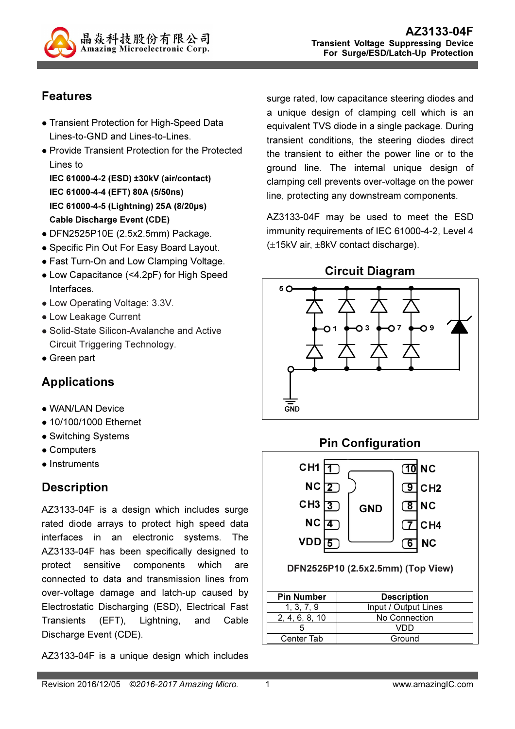

# Features

- Transient Protection for High-Speed Data Lines-to-GND and Lines-to-Lines.
- Provide Transient Protection for the Protected Lines to

IEC 61000-4-2 (ESD) ±30kV (air/contact) IEC 61000-4-4 (EFT) 80A (5/50ns) IEC 61000-4-5 (Lightning) 25A (8/20µs) Cable Discharge Event (CDE)

- DFN2525P10E (2.5x2.5mm) Package.
- Specific Pin Out For Easy Board Layout.
- Fast Turn-On and Low Clamping Voltage.
- Low Capacitance (<4.2pF) for High Speed Interfaces.
- Low Operating Voltage: 3.3V.
- Low Leakage Current
- Solid-State Silicon-Avalanche and Active Circuit Triggering Technology.
- Green part

# Applications

- WAN/LAN Device
- 10/100/1000 Ethernet
- Switching Systems
- Computers
- Instruments

# **Description**

AZ3133-04F is a design which includes surge rated diode arrays to protect high speed data interfaces in an electronic systems. The AZ3133-04F has been specifically designed to protect sensitive components which are connected to data and transmission lines from over-voltage damage and latch-up caused by Electrostatic Discharging (ESD), Electrical Fast Transients (EFT), Lightning, and Cable Discharge Event (CDE).

AZ3133-04F is a unique design which includes

surge rated, low capacitance steering diodes and a unique design of clamping cell which is an equivalent TVS diode in a single package. During transient conditions, the steering diodes direct the transient to either the power line or to the ground line. The internal unique design of clamping cell prevents over-voltage on the power line, protecting any downstream components.

AZ3133-04F may be used to meet the ESD immunity requirements of IEC 61000-4-2, Level 4 (±15kV air, ±8kV contact discharge).

#### Circuit Diagram



#### Pin Configuration



DFN2525P10 (2.5x2.5mm) (Top View)

| <b>Pin Number</b> | <b>Description</b>   |
|-------------------|----------------------|
| 1, 3, 7, 9        | Input / Output Lines |
| 2.4.6.8.10        | No Connection        |
|                   |                      |
| Center Tab        | Ground               |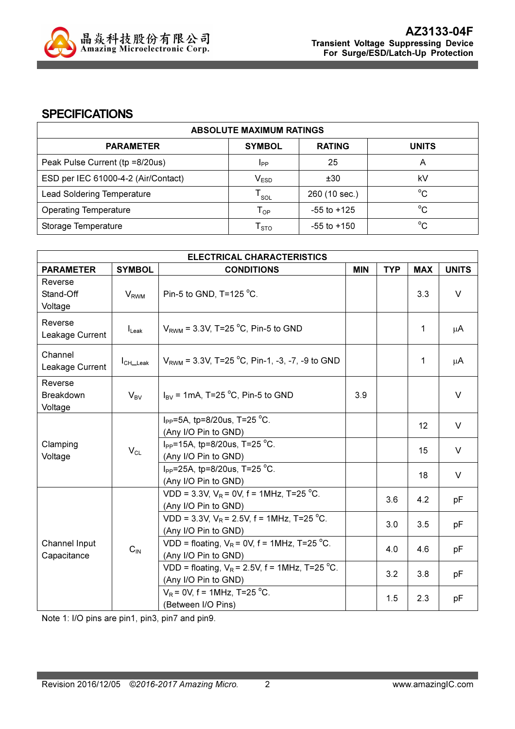

#### **SPECIFICATIONS**

| <b>ABSOLUTE MAXIMUM RATINGS</b>     |                             |                 |              |  |
|-------------------------------------|-----------------------------|-----------------|--------------|--|
| <b>PARAMETER</b>                    | <b>SYMBOL</b>               | <b>RATING</b>   | <b>UNITS</b> |  |
| Peak Pulse Current (tp =8/20us)     | IPP                         | 25              |              |  |
| ESD per IEC 61000-4-2 (Air/Contact) | $\mathsf{V}_{\mathsf{ESD}}$ | ±30             | kV           |  |
| <b>Lead Soldering Temperature</b>   | $\mathsf{T}_{\mathsf{SOL}}$ | 260 (10 sec.)   | $^{\circ}C$  |  |
| <b>Operating Temperature</b>        | $\mathsf{T}_{\mathsf{OP}}$  | $-55$ to $+125$ | $^{\circ}C$  |  |
| Storage Temperature                 | $\mathsf{T}_{\text{STO}}$   | $-55$ to $+150$ | $^{\circ}C$  |  |

| <b>ELECTRICAL CHARACTERISTICS</b>      |                                                            |                                                                          |            |            |            |              |
|----------------------------------------|------------------------------------------------------------|--------------------------------------------------------------------------|------------|------------|------------|--------------|
| <b>PARAMETER</b>                       | <b>SYMBOL</b>                                              | <b>CONDITIONS</b>                                                        | <b>MIN</b> | <b>TYP</b> | <b>MAX</b> | <b>UNITS</b> |
| Reverse<br>Stand-Off<br>Voltage        | <b>V<sub>RWM</sub></b>                                     | Pin-5 to GND, T=125 °C.                                                  |            |            | 3.3        | $\vee$       |
| Reverse<br>Leakage Current             | $I_{\text{Leak}}$                                          | $V_{RWM}$ = 3.3V, T=25 °C, Pin-5 to GND                                  |            |            | 1          | μA           |
| Channel<br>Leakage Current             | $I_{CH \_\text{Leak}}$                                     | $V_{RWM}$ = 3.3V, T=25 °C, Pin-1, -3, -7, -9 to GND                      |            |            | 1          | μA           |
| Reverse<br><b>Breakdown</b><br>Voltage | $V_{BV}$                                                   | $I_{\text{BV}}$ = 1mA, T=25 °C, Pin-5 to GND                             | 3.9        |            |            | $\vee$       |
| Clamping<br>$V_{CL}$<br>Voltage        |                                                            | $I_{PP} = 5A$ , tp=8/20us, T=25 °C.<br>(Any I/O Pin to GND)              |            |            | 12         | $\vee$       |
|                                        | $I_{PP}$ =15A, tp=8/20us, T=25 °C.<br>(Any I/O Pin to GND) |                                                                          |            | 15         | V          |              |
|                                        | $I_{PP}$ =25A, tp=8/20us, T=25 °C.<br>(Any I/O Pin to GND) |                                                                          |            | 18         | $\vee$     |              |
|                                        |                                                            | VDD = 3.3V, $V_R$ = 0V, f = 1MHz, T=25 °C.<br>(Any I/O Pin to GND)       |            | 3.6        | 4.2        | рF           |
| Channel Input<br>Capacitance           |                                                            | VDD = 3.3V, $V_R$ = 2.5V, f = 1MHz, T=25 °C.<br>(Any I/O Pin to GND)     |            | 3.0        | 3.5        | рF           |
|                                        | $C_{IN}$                                                   | VDD = floating, $V_R$ = 0V, f = 1MHz, T=25 °C.<br>(Any I/O Pin to GND)   |            | 4.0        | 4.6        | рF           |
|                                        |                                                            | VDD = floating, $V_R$ = 2.5V, f = 1MHz, T=25 °C.<br>(Any I/O Pin to GND) |            | 3.2        | 3.8        | рF           |
|                                        |                                                            | $V_R$ = 0V, f = 1MHz, T=25 °C.<br>(Between I/O Pins)                     |            | 1.5        | 2.3        | pF           |

Note 1: I/O pins are pin1, pin3, pin7 and pin9.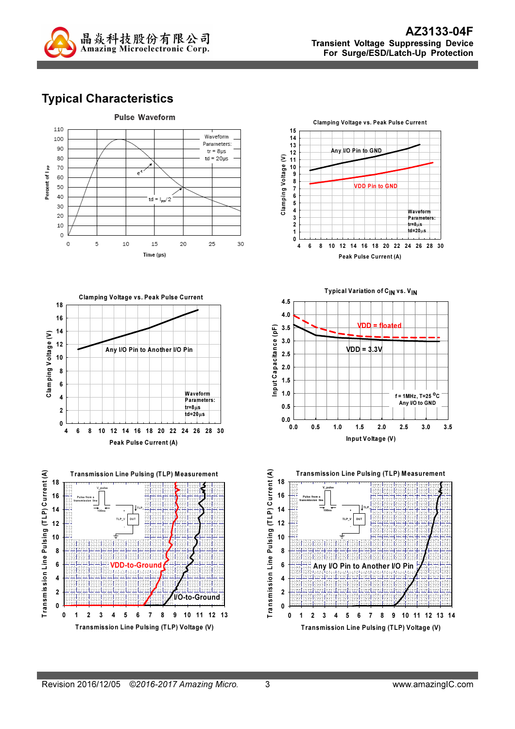

# Typical Characteristics

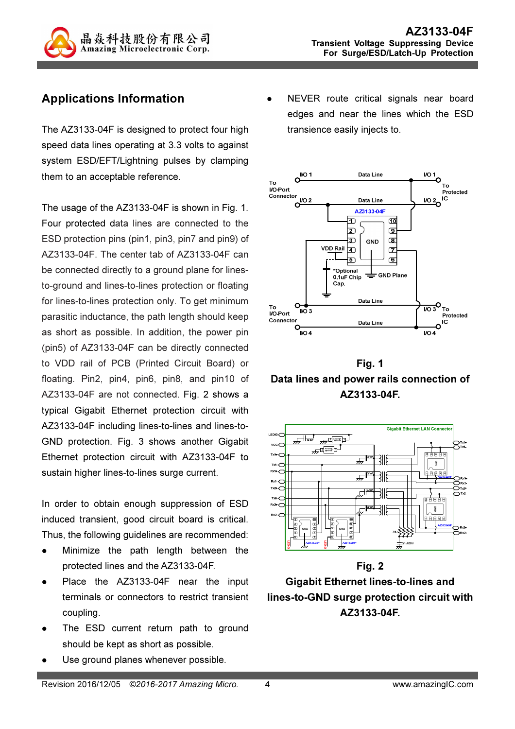

# Applications Information

The AZ3133-04F is designed to protect four high speed data lines operating at 3.3 volts to against system ESD/EFT/Lightning pulses by clamping them to an acceptable reference.

The usage of the AZ3133-04F is shown in Fig. 1. Four protected data lines are connected to the ESD protection pins (pin1, pin3, pin7 and pin9) of AZ3133-04F. The center tab of AZ3133-04F can be connected directly to a ground plane for linesto-ground and lines-to-lines protection or floating for lines-to-lines protection only. To get minimum parasitic inductance, the path length should keep as short as possible. In addition, the power pin (pin5) of AZ3133-04F can be directly connected to VDD rail of PCB (Printed Circuit Board) or floating. Pin2, pin4, pin6, pin8, and pin10 of AZ3133-04F are not connected. Fig. 2 shows a typical Gigabit Ethernet protection circuit with AZ3133-04F including lines-to-lines and lines-to-GND protection. Fig. 3 shows another Gigabit Ethernet protection circuit with AZ3133-04F to sustain higher lines-to-lines surge current.

In order to obtain enough suppression of ESD induced transient, good circuit board is critical. Thus, the following guidelines are recommended:

- Minimize the path length between the protected lines and the AZ3133-04F.
- Place the AZ3133-04F near the input terminals or connectors to restrict transient coupling.
- The ESD current return path to ground should be kept as short as possible.
- Use ground planes whenever possible.

 NEVER route critical signals near board edges and near the lines which the ESD transience easily injects to.



Fig. 1 Data lines and power rails connection of AZ3133-04F.



Fig. 2 Gigabit Ethernet lines-to-lines and lines-to-GND surge protection circuit with AZ3133-04F.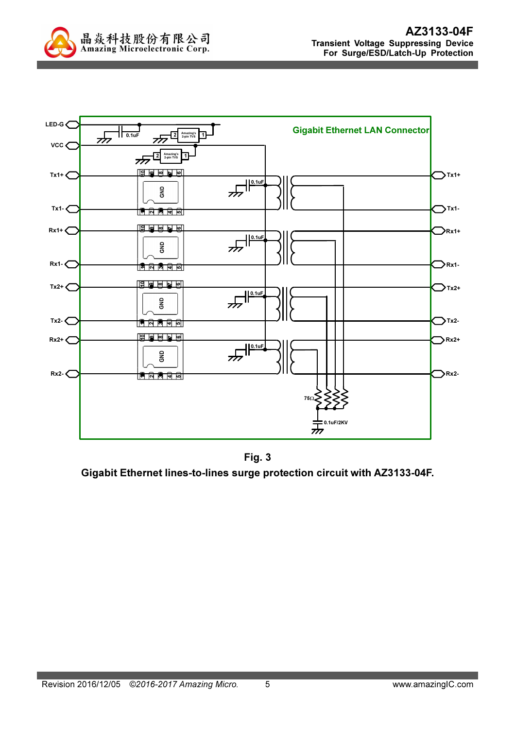



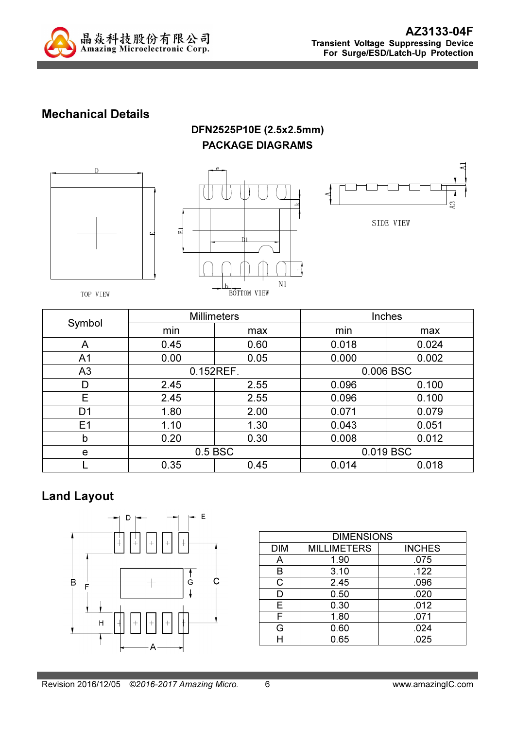

### Mechanical Details

#### DFN2525P10E (2.5x2.5mm) PACKAGE DIAGRAMS







TOP VIEW

|                |           | <b>Millimeters</b> | Inches    |       |  |
|----------------|-----------|--------------------|-----------|-------|--|
| Symbol         | min       | max                | min       | max   |  |
| A              | 0.45      | 0.60               | 0.018     | 0.024 |  |
| A <sub>1</sub> | 0.00      | 0.05               | 0.000     | 0.002 |  |
| A <sub>3</sub> | 0.152REF. |                    | 0.006 BSC |       |  |
| D              | 2.45      | 2.55               | 0.096     | 0.100 |  |
| E              | 2.45      | 2.55               | 0.096     | 0.100 |  |
| D <sub>1</sub> | 1.80      | 2.00               | 0.071     | 0.079 |  |
| E1             | 1.10      | 1.30               | 0.043     | 0.051 |  |
| b              | 0.20      | 0.30               | 0.008     | 0.012 |  |
| e              |           | 0.5 BSC            | 0.019 BSC |       |  |
|                | 0.35      | 0.45               | 0.014     | 0.018 |  |

# Land Layout



| <b>DIMENSIONS</b> |                    |               |  |  |
|-------------------|--------------------|---------------|--|--|
| <b>DIM</b>        | <b>MILLIMETERS</b> | <b>INCHES</b> |  |  |
| A                 | 1.90               | .075          |  |  |
| в                 | 3.10               | .122          |  |  |
| $\mathsf{C}$      | 2.45               | .096          |  |  |
| D                 | 0.50               | .020          |  |  |
| Е                 | 0.30               | .012          |  |  |
| F                 | 1.80               | .071          |  |  |
| G                 | 0.60               | .024          |  |  |
|                   | 0.65               | .025          |  |  |